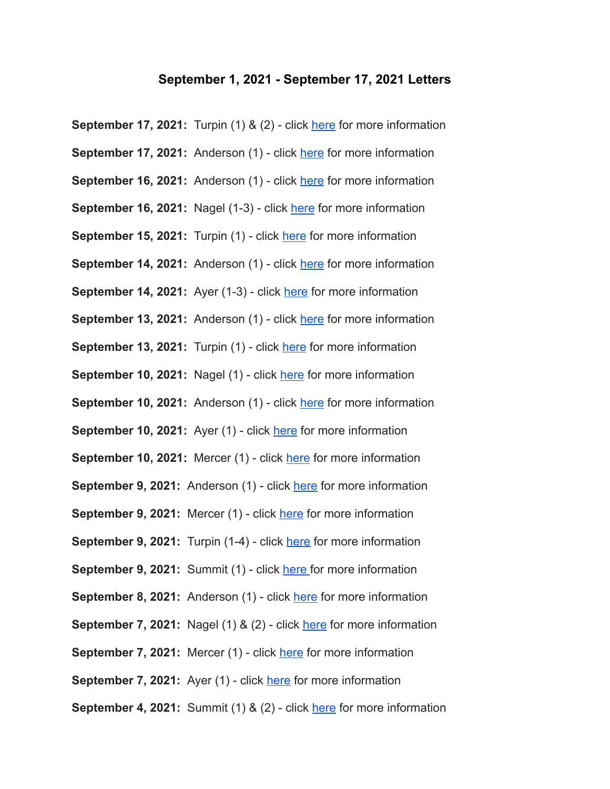## **September 1, 2021 - September 17, 2021 Letters**

**September 17, 2021:** Turpin (1) & (2) - click [here](https://www.foresthills.edu/content/documents/TURPIN-9-17-21-COVID-2-students-web---Google-Docs.pdf) for more information **September 17, 2021:** Anderson (1) - click [here](https://docs.google.com/document/d/1qalv9blz4a34P2LF3e0Np6pAGNyT6wks9QCj-hfyFKk/edit?usp=sharing) for more information **September 16, 2021:** Anderson (1) - click [here](https://docs.google.com/document/d/1feYda_YBJwjAW_4Nbd0jpyRI4G3C4eNhv_xnFAL8waY/edit?usp=sharing) for more information **September 16, 2021:** Nagel (1-3) - click [here](https://www.foresthills.edu/content/documents/NAGEL-9-16-21-COVID-3-students-web---Google-Docs.pdf) for more information **September 15, 2021:** Turpin (1) - click [here](https://www.foresthills.edu/content/documents/TURPIN-9-15-21-COVID-student-web---Google-Docs.pdf) for more information **September 14, 2021:** Anderson (1) - click [here](https://docs.google.com/document/d/1olsP2OoQ5dB3glYYj1WOTVjEzWGQjlOVUM3JgiGBF1o/edit?usp=sharing) for more information **September 14, 2021:** Aver (1-3) - click [here](https://www.foresthills.edu/content/documents/AYER-9-14-21-COVID-student-web.pdf) for more information **September 13, 2021:** Anderson (1) - click [here](https://docs.google.com/document/d/1tsW5KDJKs4aoEbbNyf2yt2LoikijgCioMinyCtrMuk8/edit?usp=sharing) for more information **September 13, 2021:** Turpin (1) - click [here](https://www.foresthills.edu/content/documents/TURPIN-9-13-21-COVID-student-web---Google-Docs.pdf) for more information **September 10, 2021:** Nagel (1) - click [here](https://www.foresthills.edu/content/documents/NAGEL-9-10-21-COVID-student-web---Google-Docs.pdf) for more information **September 10, 2021:** Anderson (1) - click [here](https://docs.google.com/document/d/1wwbBivunW3H1rnng1McSRexn3vuteT_xkI25rkMRAuQ/edit?usp=sharing) for more information **September 10, 2021:** Ayer (1) - click [here](https://www.foresthills.edu/content/documents/AYER-9-10-COVID-STUDENT-WEB.pdf) for more information **September 10, 2021:** Mercer (1) - click [here](https://www.foresthills.edu/content/documents/MERCER-9-10-21-COVID-student-web---Google-Docs.pdf) for more information **September 9, 2021:** Anderson (1) - click [here](https://docs.google.com/document/d/1R-XQw9uGUBEySNm5oJl9HhUVTP2CEB88V0ZNRcoJ8cM/edit?usp=sharing) for more information **September 9, 2021:** Mercer (1) - click [here](https://www.foresthills.edu/content/documents/MERCER-9-9-21-COVID-staff-web---Google-Docs.pdf) for more information **September 9, 2021:** Turpin (1-4) - click [here](https://www.foresthills.edu/content/documents/TURPIN-9-9-21-COVID-4-students-web---Google-Docs.pdf) for more information **September 9, 2021:** Summit (1) - click [here](https://www.foresthills.edu/content/documents/SUMMIT-9-9-21-COVID-student-web---Google-Docs.pdf) for more information **September 8, 2021:** Anderson (1) - click [here](https://docs.google.com/document/d/1bkdZ9Ds7eDIbEknHk5aobIimSHgcGV3tg4zWIYo5t3Y/edit?usp=sharing) for more information **September 7, 2021:** Nagel (1) & (2) - click [here](https://www.foresthills.edu/content/documents/NAGEL-9-7-21-COVID-2-students-web---Google-Docs.pdf) for more information **September 7, 2021:** Mercer (1) - click [here](https://www.foresthills.edu/content/documents/MERCER-9-7-21-COVID-student-web---Google-Docs.pdf) for more information **September 7, 2021:** Ayer (1) - click [here](https://www.foresthills.edu/content/documents/AYER-9-7-21-COVID-STUDENT-WEB.pdf) for more information **September 4, 2021:** Summit (1) & (2) - click [here](https://www.foresthills.edu/content/documents/SUMMIT-9-4-21-COVID-2-students-web---Google-Docs.pdf) for more information